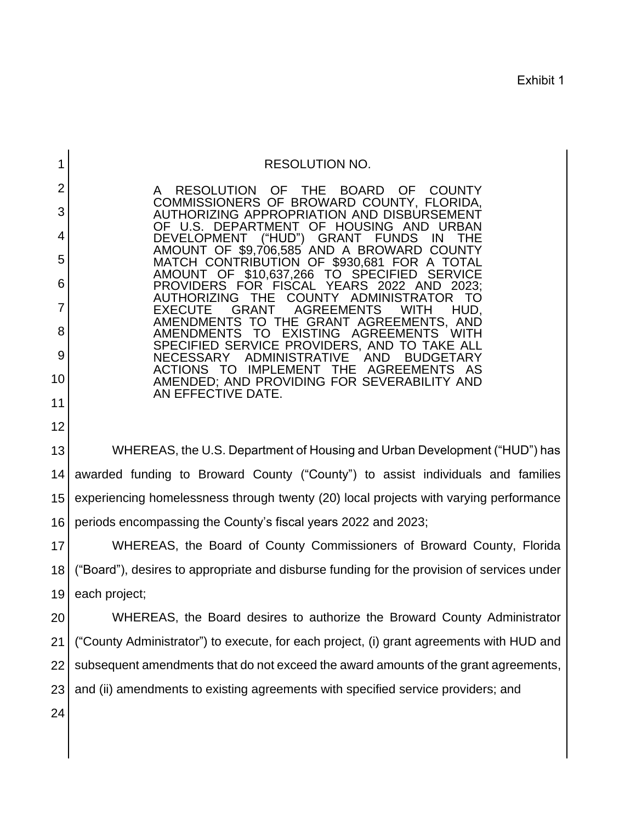Exhibit 1

| <b>RESOLUTION NO.</b> |  |
|-----------------------|--|
|-----------------------|--|

**THE**  AMOUNT OF \$9,706,585 AND A BROWARD COUNTY AMENDMENTS<br>AMENDMENTS SPECIFIED SERVICE PROVIDERS, AND TO TAKE ALL AMENDED; AND PROVIDING FOR SEVERABILITY AND A RESOLUTION OF THE BOARD OF COUNTY COMMISSIONERS OF BROWARD COUNTY, FLORIDA, AUTHORIZING APPROPRIATION AND DISBURSEMENT OF U.S. DEPARTMENT OF HOUSING AND URBAN<br>DEVELOPMENT ("HUD") GRANT FUNDS IN THE DEVELOPMENT ("HUD") GRANT FUNDS IN THE MATCH CONTRIBUTION OF \$930,681 FOR A TOTAL<br>AMOUNT OF \$10,637,266 TO SPECIFIED SERVICE AMOUNT OF \$10,637,266 TO SPECIFIED SEF<br>PROVIDERS FOR FISCAL YEARS 2022 AND PROVIDERS FOR FISCAL YEARS 2022 AND 2023; G THE COUNTY ADMINISTRATOR TO<br>GRANT AGREEMENTS WITH HUD, EXECUTE GRANT AGREEMENTS WITH HUD,<br>AMENDMENTS TO THE GRANT AGREEMENTS, AND<br>AMENDMENTS TO EXISTING AGREEMENTS WITH AGREEMENTS NECESSARY ADMINISTRATIVE AND BUDGETARY IMPLEMENT THE AGREEMENTS AS AN EFFECTIVE DATE.

 WHEREAS, the U.S. Department of Housing and Urban Development ("HUD") has awarded funding to Broward County ("County") to assist individuals and families experiencing homelessness through twenty (20) local projects with varying performance 13 14 15 16 periods encompassing the County's fiscal years 2022 and 2023;

 WHEREAS, the Board of County Commissioners of Broward County, Florida ("Board"), desires to appropriate and disburse funding for the provision of services under 17 18 19 each project;

 WHEREAS, the Board desires to authorize the Broward County Administrator subsequent amendments that do not exceed the award amounts of the grant agreements, 20 21 22 23 ("County Administrator") to execute, for each project, (i) grant agreements with HUD and and (ii) amendments to existing agreements with specified service providers; and

24

1

2

3

4

5

6

7

8

9

10

11

12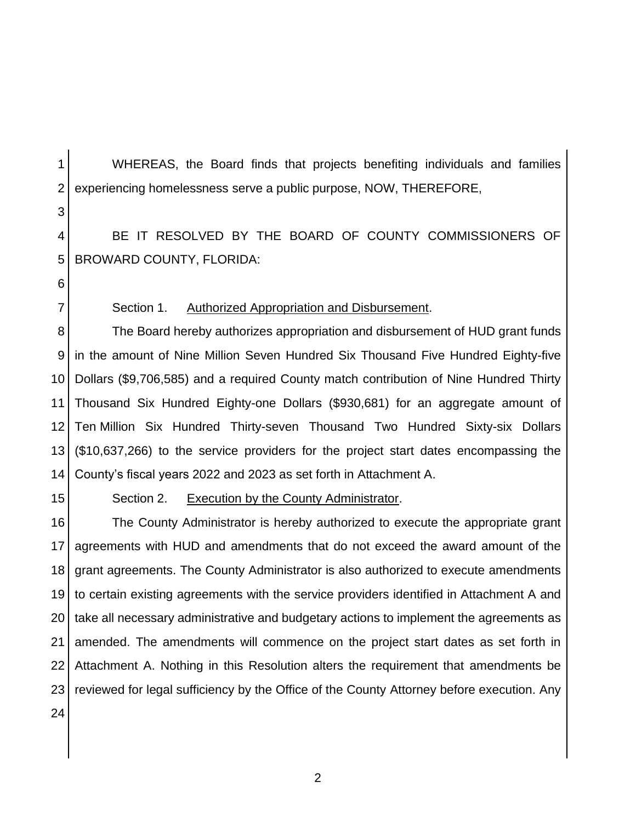1

 WHEREAS, the Board finds that projects benefiting individuals and families experiencing homelessness serve a public purpose, NOW, THEREFORE,

 BE IT RESOLVED BY THE BOARD OF COUNTY COMMISSIONERS OF 4 5 BROWARD COUNTY, FLORIDA:

Section 1. Authorized Appropriation and Disbursement.

 The Board hereby authorizes appropriation and disbursement of HUD grant funds in the amount of Nine Million Seven Hundred Six Thousand Five Hundred Eighty-five Dollars (\$9,706,585) and a required County match contribution of Nine Hundred Thirty Thousand Six Hundred Eighty-one Dollars (\$930,681) for an aggregate amount of (\$10,637,266) to the service providers for the project start dates encompassing the 8 9 10 11 12 13 14 Ten Million Six Hundred Thirty-seven Thousand Two Hundred Sixty-six Dollars County's fiscal years 2022 and 2023 as set forth in Attachment A.

15

Section 2. Execution by the County Administrator.

 The County Administrator is hereby authorized to execute the appropriate grant agreements with HUD and amendments that do not exceed the award amount of the grant agreements. The County Administrator is also authorized to execute amendments to certain existing agreements with the service providers identified in Attachment A and take all necessary administrative and budgetary actions to implement the agreements as amended. The amendments will commence on the project start dates as set forth in Attachment A. Nothing in this Resolution alters the requirement that amendments be 16 17 18 19 20 21 22 23 24 reviewed for legal sufficiency by the Office of the County Attorney before execution. Any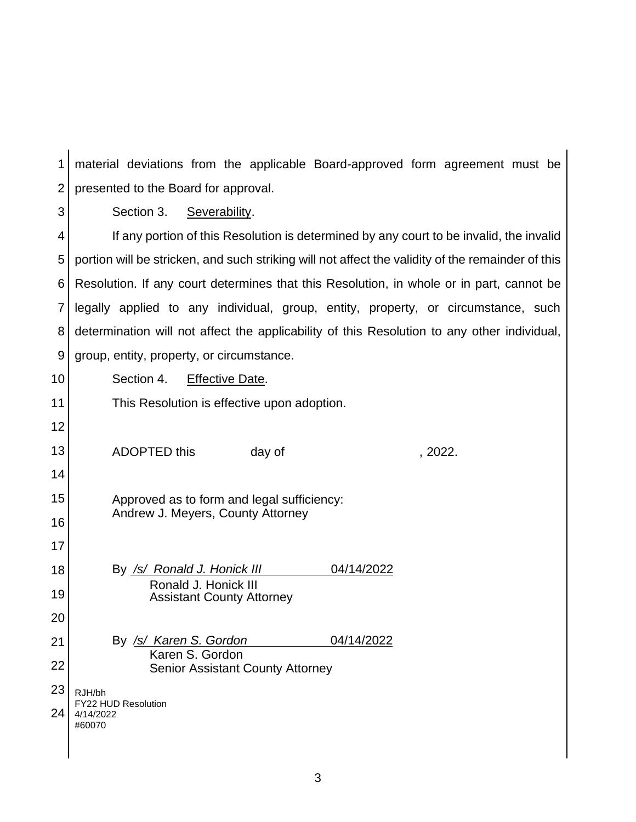material deviations from the applicable Board-approved form agreement must be presented to the Board for approval. 1 2

3

Section 3. Severability.

 If any portion of this Resolution is determined by any court to be invalid, the invalid portion will be stricken, and such striking will not affect the validity of the remainder of this Resolution. If any court determines that this Resolution, in whole or in part, cannot be legally applied to any individual, group, entity, property, or circumstance, such determination will not affect the applicability of this Resolution to any other individual, 4 5 6 7 8 9 group, entity, property, or circumstance.

10 11 12 13 Section 4. Effective Date. This Resolution is effective upon adoption.

16

17

18

19

20

14 15 ADOPTED this day of the case of the case of the case of the case of the case of the case of the case of the case of the case of the case of the case of the case of the case of the case of the case of the case of the case o Approved as to form and legal sufficiency: Andrew J. Meyers, County Attorney

 By */s/ Ronald J. Honick III* 04/14/2022 Ronald J. Honick III Assistant County Attorney

 By */s/ Karen S. Gordon* 04/14/2022 21 22 Karen S. Gordon Senior Assistant County Attorney

23 24 RJH/bh FY22 HUD Resolution 4/14/2022 #60070

3